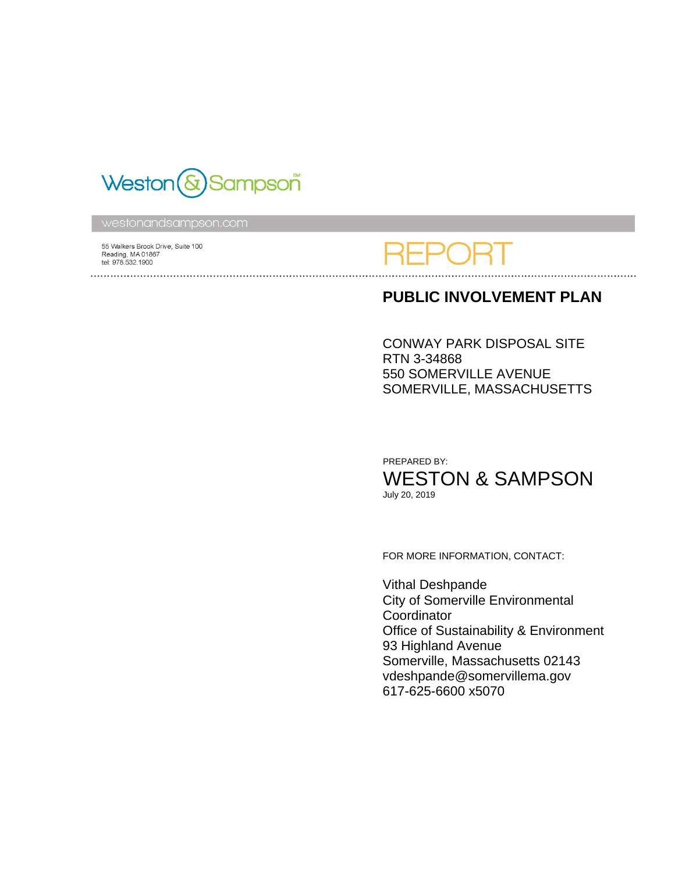

55 Walkers Brook Drive, Suite 100 Reading, MA 01867 tel: 978.532.1900 

### **PUBLIC INVOLVEMENT PLAN**

CONWAY PARK DISPOSAL SITE RTN 3-34868 550 SOMERVILLE AVENUE SOMERVILLE, MASSACHUSETTS

PREPARED BY: WESTON & SAMPSON July 20, 2019

FOR MORE INFORMATION, CONTACT:

Vithal Deshpande City of Somerville Environmental **Coordinator** Office of Sustainability & Environment 93 Highland Avenue Somerville, Massachusetts 02143 vdeshpande@somervillema.gov 617-625-6600 x5070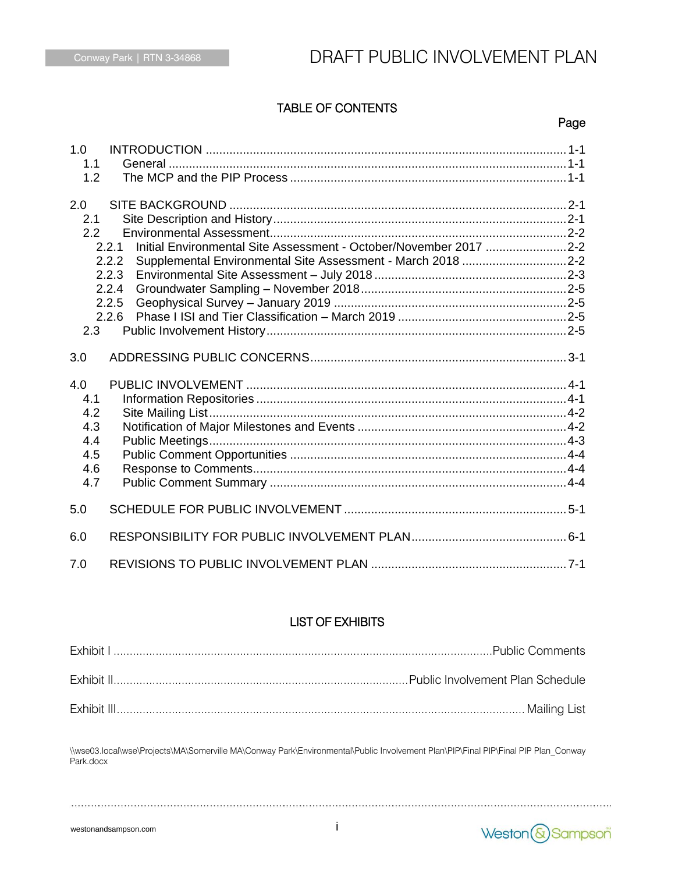# Conway Park | RTN 3-34868 **DRAFT PUBLIC INVOLVEMENT PLAN**

### TABLE OF CONTENTS

#### en de la provincia de la provincia de la provincia de la provincia de la provincia de la provincia de la provi

| 1.0<br>1.1<br>1.2                                    |                                                                                                                                                                                        |
|------------------------------------------------------|----------------------------------------------------------------------------------------------------------------------------------------------------------------------------------------|
| 2.0<br>2.1<br>2.2<br>2.3                             | Initial Environmental Site Assessment - October/November 2017 2-2<br>2.2.1<br>2.2.2<br>Supplemental Environmental Site Assessment - March 2018 2-2<br>2.2.3<br>2.2.4<br>2.2.5<br>2.2.6 |
| 3.0                                                  |                                                                                                                                                                                        |
| 4.0<br>4.1<br>4.2<br>4.3<br>4.4<br>4.5<br>4.6<br>4.7 |                                                                                                                                                                                        |
| 5.0                                                  |                                                                                                                                                                                        |
| 6.0                                                  |                                                                                                                                                                                        |
| 7.0                                                  |                                                                                                                                                                                        |

### LIST OF EXHIBITS

\\wse03.local\wse\Projects\MA\Somerville MA\Conway Park\Environmental\Public Involvement Plan\PIP\Final PIP\Final PIP Plan\_Conway Park.docx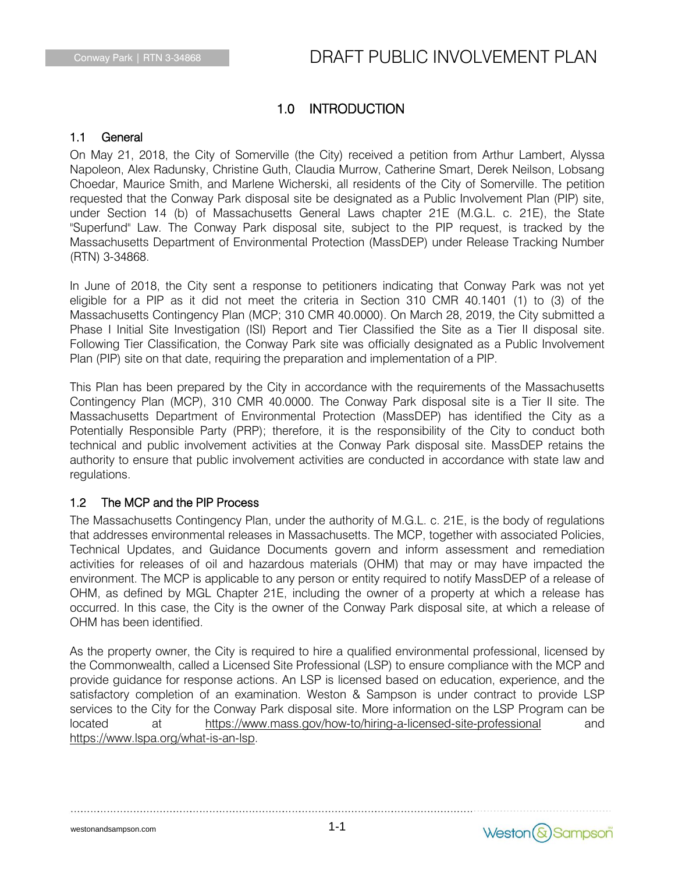### 1.0 INTRODUCTION

### 1.1 General

On May 21, 2018, the City of Somerville (the City) received a petition from Arthur Lambert, Alyssa Napoleon, Alex Radunsky, Christine Guth, Claudia Murrow, Catherine Smart, Derek Neilson, Lobsang Choedar, Maurice Smith, and Marlene Wicherski, all residents of the City of Somerville. The petition requested that the Conway Park disposal site be designated as a Public Involvement Plan (PIP) site, under Section 14 (b) of Massachusetts General Laws chapter 21E (M.G.L. c. 21E), the State "Superfund" Law. The Conway Park disposal site, subject to the PIP request, is tracked by the Massachusetts Department of Environmental Protection (MassDEP) under Release Tracking Number (RTN) 3-34868.

In June of 2018, the City sent a response to petitioners indicating that Conway Park was not yet eligible for a PIP as it did not meet the criteria in Section 310 CMR 40.1401 (1) to (3) of the Massachusetts Contingency Plan (MCP; 310 CMR 40.0000). On March 28, 2019, the City submitted a Phase I Initial Site Investigation (ISI) Report and Tier Classified the Site as a Tier II disposal site. Following Tier Classification, the Conway Park site was officially designated as a Public Involvement Plan (PIP) site on that date, requiring the preparation and implementation of a PIP.

This Plan has been prepared by the City in accordance with the requirements of the Massachusetts Contingency Plan (MCP), 310 CMR 40.0000. The Conway Park disposal site is a Tier II site. The Massachusetts Department of Environmental Protection (MassDEP) has identified the City as a Potentially Responsible Party (PRP); therefore, it is the responsibility of the City to conduct both technical and public involvement activities at the Conway Park disposal site. MassDEP retains the authority to ensure that public involvement activities are conducted in accordance with state law and regulations.

### 1.2 The MCP and the PIP Process

The Massachusetts Contingency Plan, under the authority of M.G.L. c. 21E, is the body of regulations that addresses environmental releases in Massachusetts. The MCP, together with associated Policies, Technical Updates, and Guidance Documents govern and inform assessment and remediation activities for releases of oil and hazardous materials (OHM) that may or may have impacted the environment. The MCP is applicable to any person or entity required to notify MassDEP of a release of OHM, as defined by MGL Chapter 21E, including the owner of a property at which a release has occurred. In this case, the City is the owner of the Conway Park disposal site, at which a release of OHM has been identified.

As the property owner, the City is required to hire a qualified environmental professional, licensed by the Commonwealth, called a Licensed Site Professional (LSP) to ensure compliance with the MCP and provide guidance for response actions. An LSP is licensed based on education, experience, and the satisfactory completion of an examination. Weston & Sampson is under contract to provide LSP services to the City for the Conway Park disposal site. More information on the LSP Program can be located at <https://www.mass.gov/how-to/hiring-a-licensed-site-professional> and [https://www.lspa.org/what-is-an-lsp.](https://www.lspa.org/what-is-an-lsp)

westonandsampson.com

Weston & Sampson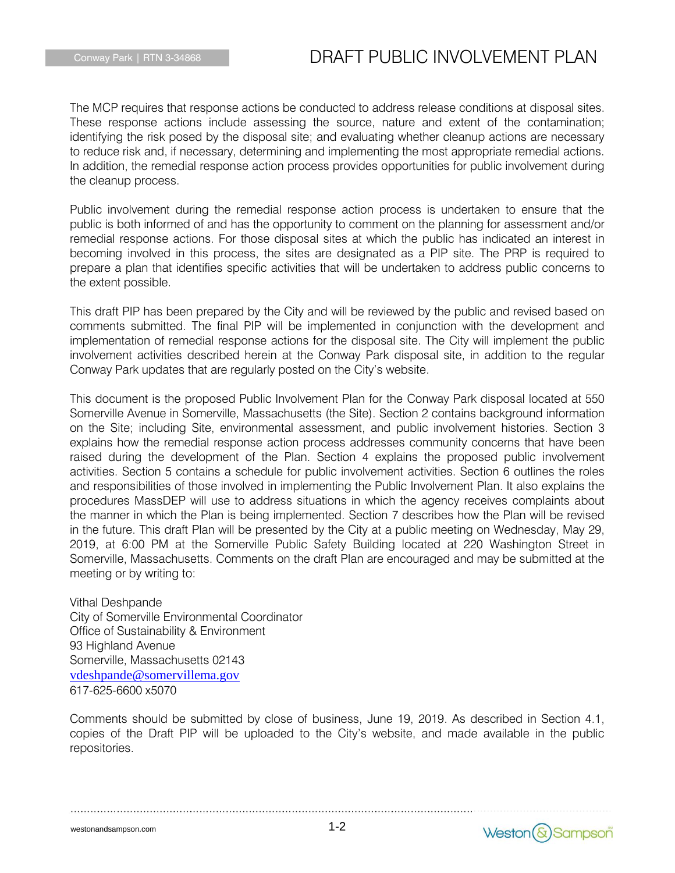The MCP requires that response actions be conducted to address release conditions at disposal sites. These response actions include assessing the source, nature and extent of the contamination; identifying the risk posed by the disposal site; and evaluating whether cleanup actions are necessary to reduce risk and, if necessary, determining and implementing the most appropriate remedial actions. In addition, the remedial response action process provides opportunities for public involvement during the cleanup process.

Public involvement during the remedial response action process is undertaken to ensure that the public is both informed of and has the opportunity to comment on the planning for assessment and/or remedial response actions. For those disposal sites at which the public has indicated an interest in becoming involved in this process, the sites are designated as a PIP site. The PRP is required to prepare a plan that identifies specific activities that will be undertaken to address public concerns to the extent possible.

This draft PIP has been prepared by the City and will be reviewed by the public and revised based on comments submitted. The final PIP will be implemented in conjunction with the development and implementation of remedial response actions for the disposal site. The City will implement the public involvement activities described herein at the Conway Park disposal site, in addition to the regular Conway Park updates that are regularly posted on the City's website.

This document is the proposed Public Involvement Plan for the Conway Park disposal located at 550 Somerville Avenue in Somerville, Massachusetts (the Site). Section 2 contains background information on the Site; including Site, environmental assessment, and public involvement histories. Section 3 explains how the remedial response action process addresses community concerns that have been raised during the development of the Plan. Section 4 explains the proposed public involvement activities. Section 5 contains a schedule for public involvement activities. Section 6 outlines the roles and responsibilities of those involved in implementing the Public Involvement Plan. It also explains the procedures MassDEP will use to address situations in which the agency receives complaints about the manner in which the Plan is being implemented. Section 7 describes how the Plan will be revised in the future. This draft Plan will be presented by the City at a public meeting on Wednesday, May 29, 2019, at 6:00 PM at the Somerville Public Safety Building located at 220 Washington Street in Somerville, Massachusetts. Comments on the draft Plan are encouraged and may be submitted at the meeting or by writing to:

Vithal Deshpande City of Somerville Environmental Coordinator Office of Sustainability & Environment 93 Highland Avenue Somerville, Massachusetts 02143 [vdeshpande@somervillema.gov](mailto:vdeshpande@somervillema.gov) 617-625-6600 x5070

Comments should be submitted by close of business, June 19, 2019. As described in Section 4.1, copies of the Draft PIP will be uploaded to the City's website, and made available in the public repositories.

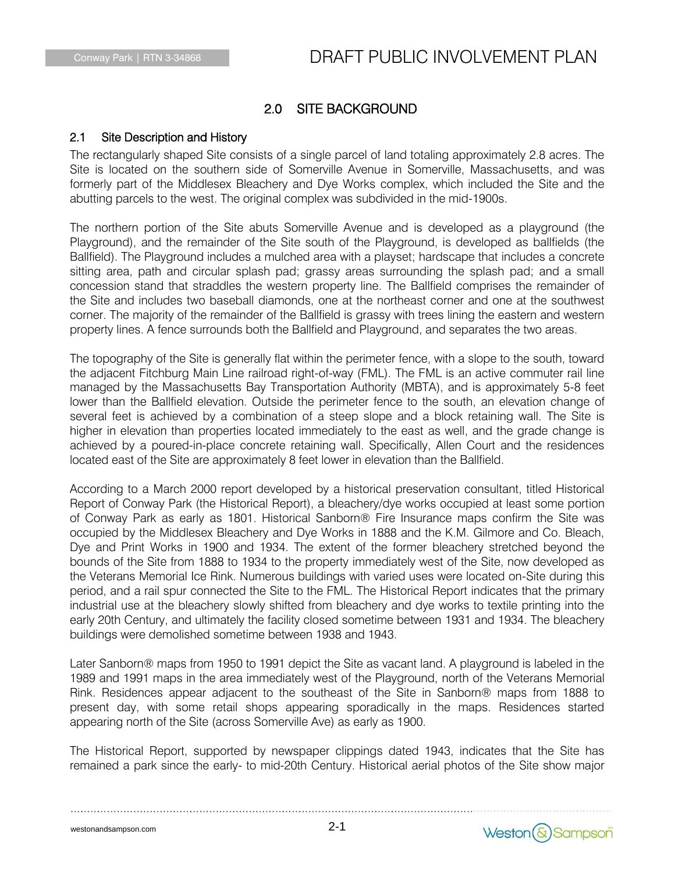### 2.0 SITE BACKGROUND

### 2.1 Site Description and History

The rectangularly shaped Site consists of a single parcel of land totaling approximately 2.8 acres. The Site is located on the southern side of Somerville Avenue in Somerville, Massachusetts, and was formerly part of the Middlesex Bleachery and Dye Works complex, which included the Site and the abutting parcels to the west. The original complex was subdivided in the mid-1900s.

The northern portion of the Site abuts Somerville Avenue and is developed as a playground (the Playground), and the remainder of the Site south of the Playground, is developed as ballfields (the Ballfield). The Playground includes a mulched area with a playset; hardscape that includes a concrete sitting area, path and circular splash pad; grassy areas surrounding the splash pad; and a small concession stand that straddles the western property line. The Ballfield comprises the remainder of the Site and includes two baseball diamonds, one at the northeast corner and one at the southwest corner. The majority of the remainder of the Ballfield is grassy with trees lining the eastern and western property lines. A fence surrounds both the Ballfield and Playground, and separates the two areas.

The topography of the Site is generally flat within the perimeter fence, with a slope to the south, toward the adjacent Fitchburg Main Line railroad right-of-way (FML). The FML is an active commuter rail line managed by the Massachusetts Bay Transportation Authority (MBTA), and is approximately 5-8 feet lower than the Ballfield elevation. Outside the perimeter fence to the south, an elevation change of several feet is achieved by a combination of a steep slope and a block retaining wall. The Site is higher in elevation than properties located immediately to the east as well, and the grade change is achieved by a poured-in-place concrete retaining wall. Specifically, Allen Court and the residences located east of the Site are approximately 8 feet lower in elevation than the Ballfield.

According to a March 2000 report developed by a historical preservation consultant, titled Historical Report of Conway Park (the Historical Report), a bleachery/dye works occupied at least some portion of Conway Park as early as 1801. Historical Sanborn® Fire Insurance maps confirm the Site was occupied by the Middlesex Bleachery and Dye Works in 1888 and the K.M. Gilmore and Co. Bleach, Dye and Print Works in 1900 and 1934. The extent of the former bleachery stretched beyond the bounds of the Site from 1888 to 1934 to the property immediately west of the Site, now developed as the Veterans Memorial Ice Rink. Numerous buildings with varied uses were located on-Site during this period, and a rail spur connected the Site to the FML. The Historical Report indicates that the primary industrial use at the bleachery slowly shifted from bleachery and dye works to textile printing into the early 20th Century, and ultimately the facility closed sometime between 1931 and 1934. The bleachery buildings were demolished sometime between 1938 and 1943.

Later Sanborn® maps from 1950 to 1991 depict the Site as vacant land. A playground is labeled in the 1989 and 1991 maps in the area immediately west of the Playground, north of the Veterans Memorial Rink. Residences appear adjacent to the southeast of the Site in Sanborn® maps from 1888 to present day, with some retail shops appearing sporadically in the maps. Residences started appearing north of the Site (across Somerville Ave) as early as 1900.

The Historical Report, supported by newspaper clippings dated 1943, indicates that the Site has remained a park since the early- to mid-20th Century. Historical aerial photos of the Site show major

2-1

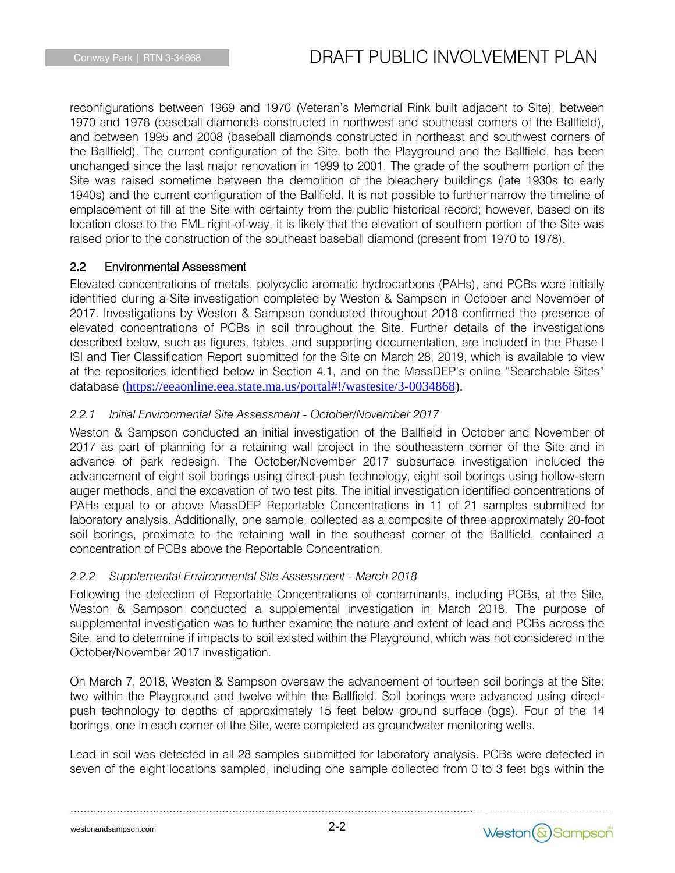reconfigurations between 1969 and 1970 (Veteran's Memorial Rink built adjacent to Site), between 1970 and 1978 (baseball diamonds constructed in northwest and southeast corners of the Ballfield), and between 1995 and 2008 (baseball diamonds constructed in northeast and southwest corners of the Ballfield). The current configuration of the Site, both the Playground and the Ballfield, has been unchanged since the last major renovation in 1999 to 2001. The grade of the southern portion of the Site was raised sometime between the demolition of the bleachery buildings (late 1930s to early 1940s) and the current configuration of the Ballfield. It is not possible to further narrow the timeline of emplacement of fill at the Site with certainty from the public historical record; however, based on its location close to the FML right-of-way, it is likely that the elevation of southern portion of the Site was raised prior to the construction of the southeast baseball diamond (present from 1970 to 1978).

### 2.2 Environmental Assessment

Elevated concentrations of metals, polycyclic aromatic hydrocarbons (PAHs), and PCBs were initially identified during a Site investigation completed by Weston & Sampson in October and November of 2017. Investigations by Weston & Sampson conducted throughout 2018 confirmed the presence of elevated concentrations of PCBs in soil throughout the Site. Further details of the investigations described below, such as figures, tables, and supporting documentation, are included in the Phase I ISI and Tier Classification Report submitted for the Site on March 28, 2019, which is available to view at the repositories identified below in Section 4.1, and on the MassDEP's online "Searchable Sites" database ([https://eeaonline.eea.state.ma.us/portal#!/wastesite/3-0034868\)](https://eeaonline.eea.state.ma.us/portal#!/wastesite/3-0034868).

### *2.2.1 Initial Environmental Site Assessment - October/November 2017*

Weston & Sampson conducted an initial investigation of the Ballfield in October and November of 2017 as part of planning for a retaining wall project in the southeastern corner of the Site and in advance of park redesign. The October/November 2017 subsurface investigation included the advancement of eight soil borings using direct-push technology, eight soil borings using hollow-stem auger methods, and the excavation of two test pits. The initial investigation identified concentrations of PAHs equal to or above MassDEP Reportable Concentrations in 11 of 21 samples submitted for laboratory analysis. Additionally, one sample, collected as a composite of three approximately 20-foot soil borings, proximate to the retaining wall in the southeast corner of the Ballfield, contained a concentration of PCBs above the Reportable Concentration.

### *2.2.2 Supplemental Environmental Site Assessment - March 2018*

Following the detection of Reportable Concentrations of contaminants, including PCBs, at the Site, Weston & Sampson conducted a supplemental investigation in March 2018. The purpose of supplemental investigation was to further examine the nature and extent of lead and PCBs across the Site, and to determine if impacts to soil existed within the Playground, which was not considered in the October/November 2017 investigation.

On March 7, 2018, Weston & Sampson oversaw the advancement of fourteen soil borings at the Site: two within the Playground and twelve within the Ballfield. Soil borings were advanced using directpush technology to depths of approximately 15 feet below ground surface (bgs). Four of the 14 borings, one in each corner of the Site, were completed as groundwater monitoring wells.

Lead in soil was detected in all 28 samples submitted for laboratory analysis. PCBs were detected in seven of the eight locations sampled, including one sample collected from 0 to 3 feet bgs within the

westonandsampson.com

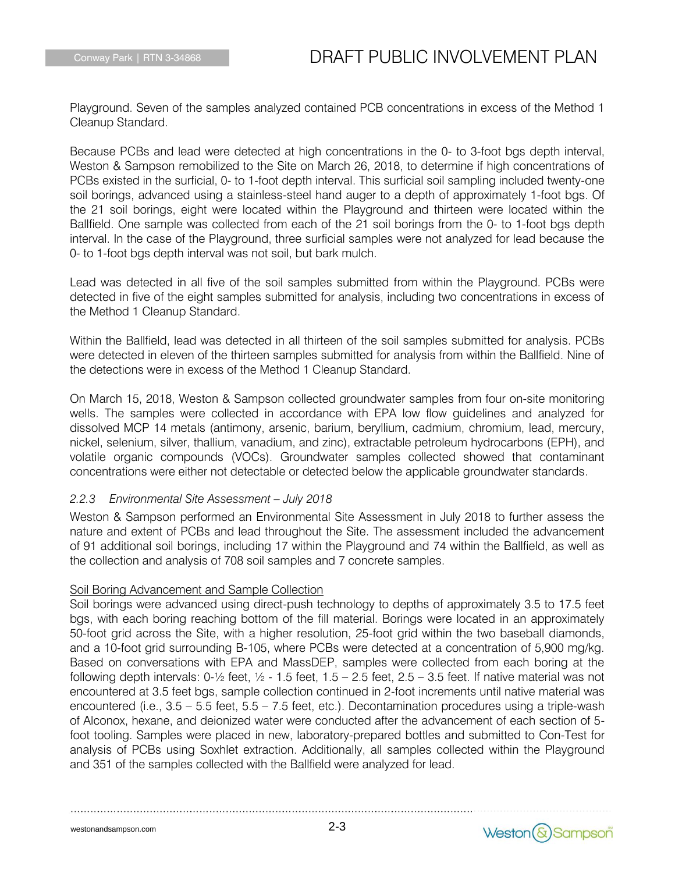Playground. Seven of the samples analyzed contained PCB concentrations in excess of the Method 1 Cleanup Standard.

Because PCBs and lead were detected at high concentrations in the 0- to 3-foot bgs depth interval, Weston & Sampson remobilized to the Site on March 26, 2018, to determine if high concentrations of PCBs existed in the surficial, 0- to 1-foot depth interval. This surficial soil sampling included twenty-one soil borings, advanced using a stainless-steel hand auger to a depth of approximately 1-foot bgs. Of the 21 soil borings, eight were located within the Playground and thirteen were located within the Ballfield. One sample was collected from each of the 21 soil borings from the 0- to 1-foot bgs depth interval. In the case of the Playground, three surficial samples were not analyzed for lead because the 0- to 1-foot bgs depth interval was not soil, but bark mulch.

Lead was detected in all five of the soil samples submitted from within the Playground. PCBs were detected in five of the eight samples submitted for analysis, including two concentrations in excess of the Method 1 Cleanup Standard.

Within the Ballfield, lead was detected in all thirteen of the soil samples submitted for analysis. PCBs were detected in eleven of the thirteen samples submitted for analysis from within the Ballfield. Nine of the detections were in excess of the Method 1 Cleanup Standard.

On March 15, 2018, Weston & Sampson collected groundwater samples from four on-site monitoring wells. The samples were collected in accordance with EPA low flow guidelines and analyzed for dissolved MCP 14 metals (antimony, arsenic, barium, beryllium, cadmium, chromium, lead, mercury, nickel, selenium, silver, thallium, vanadium, and zinc), extractable petroleum hydrocarbons (EPH), and volatile organic compounds (VOCs). Groundwater samples collected showed that contaminant concentrations were either not detectable or detected below the applicable groundwater standards.

### *2.2.3 Environmental Site Assessment – July 2018*

Weston & Sampson performed an Environmental Site Assessment in July 2018 to further assess the nature and extent of PCBs and lead throughout the Site. The assessment included the advancement of 91 additional soil borings, including 17 within the Playground and 74 within the Ballfield, as well as the collection and analysis of 708 soil samples and 7 concrete samples.

#### Soil Boring Advancement and Sample Collection

Soil borings were advanced using direct-push technology to depths of approximately 3.5 to 17.5 feet bgs, with each boring reaching bottom of the fill material. Borings were located in an approximately 50-foot grid across the Site, with a higher resolution, 25-foot grid within the two baseball diamonds, and a 10-foot grid surrounding B-105, where PCBs were detected at a concentration of 5,900 mg/kg. Based on conversations with EPA and MassDEP, samples were collected from each boring at the following depth intervals:  $0-\frac{1}{2}$  feet,  $\frac{1}{2}$  - 1.5 feet, 1.5 – 2.5 feet, 2.5 – 3.5 feet. If native material was not encountered at 3.5 feet bgs, sample collection continued in 2-foot increments until native material was encountered (i.e., 3.5 – 5.5 feet, 5.5 – 7.5 feet, etc.). Decontamination procedures using a triple-wash of Alconox, hexane, and deionized water were conducted after the advancement of each section of 5 foot tooling. Samples were placed in new, laboratory-prepared bottles and submitted to Con-Test for analysis of PCBs using Soxhlet extraction. Additionally, all samples collected within the Playground and 351 of the samples collected with the Ballfield were analyzed for lead.

Weston & Sampson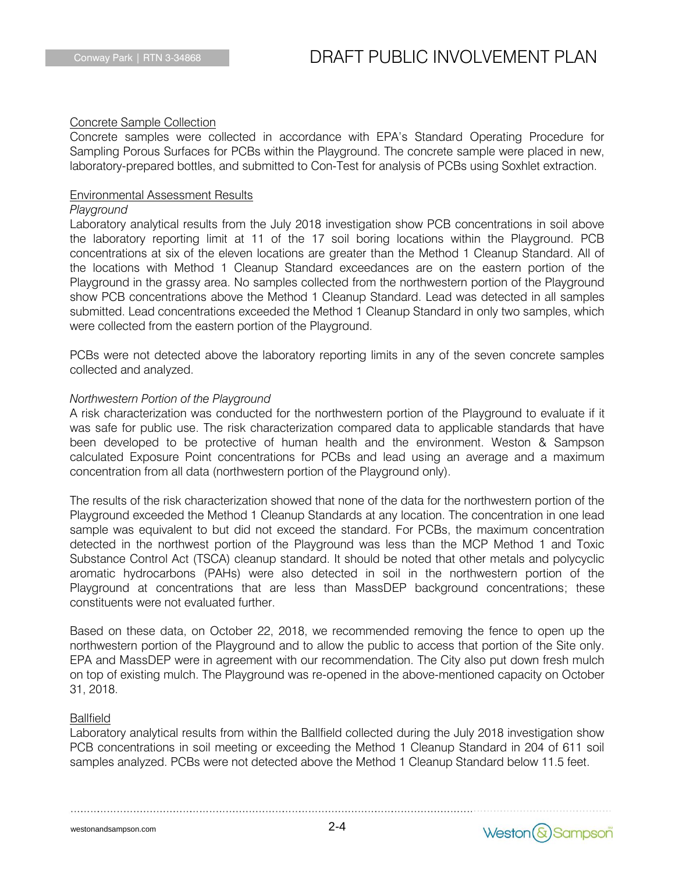#### Concrete Sample Collection

Concrete samples were collected in accordance with EPA's Standard Operating Procedure for Sampling Porous Surfaces for PCBs within the Playground. The concrete sample were placed in new, laboratory-prepared bottles, and submitted to Con-Test for analysis of PCBs using Soxhlet extraction.

#### Environmental Assessment Results

#### *Playground*

Laboratory analytical results from the July 2018 investigation show PCB concentrations in soil above the laboratory reporting limit at 11 of the 17 soil boring locations within the Playground. PCB concentrations at six of the eleven locations are greater than the Method 1 Cleanup Standard. All of the locations with Method 1 Cleanup Standard exceedances are on the eastern portion of the Playground in the grassy area. No samples collected from the northwestern portion of the Playground show PCB concentrations above the Method 1 Cleanup Standard. Lead was detected in all samples submitted. Lead concentrations exceeded the Method 1 Cleanup Standard in only two samples, which were collected from the eastern portion of the Playground.

PCBs were not detected above the laboratory reporting limits in any of the seven concrete samples collected and analyzed.

#### *Northwestern Portion of the Playground*

A risk characterization was conducted for the northwestern portion of the Playground to evaluate if it was safe for public use. The risk characterization compared data to applicable standards that have been developed to be protective of human health and the environment. Weston & Sampson calculated Exposure Point concentrations for PCBs and lead using an average and a maximum concentration from all data (northwestern portion of the Playground only).

The results of the risk characterization showed that none of the data for the northwestern portion of the Playground exceeded the Method 1 Cleanup Standards at any location. The concentration in one lead sample was equivalent to but did not exceed the standard. For PCBs, the maximum concentration detected in the northwest portion of the Playground was less than the MCP Method 1 and Toxic Substance Control Act (TSCA) cleanup standard. It should be noted that other metals and polycyclic aromatic hydrocarbons (PAHs) were also detected in soil in the northwestern portion of the Playground at concentrations that are less than MassDEP background concentrations; these constituents were not evaluated further.

Based on these data, on October 22, 2018, we recommended removing the fence to open up the northwestern portion of the Playground and to allow the public to access that portion of the Site only. EPA and MassDEP were in agreement with our recommendation. The City also put down fresh mulch on top of existing mulch. The Playground was re-opened in the above-mentioned capacity on October 31, 2018.

#### Ballfield

Laboratory analytical results from within the Ballfield collected during the July 2018 investigation show PCB concentrations in soil meeting or exceeding the Method 1 Cleanup Standard in 204 of 611 soil samples analyzed. PCBs were not detected above the Method 1 Cleanup Standard below 11.5 feet.

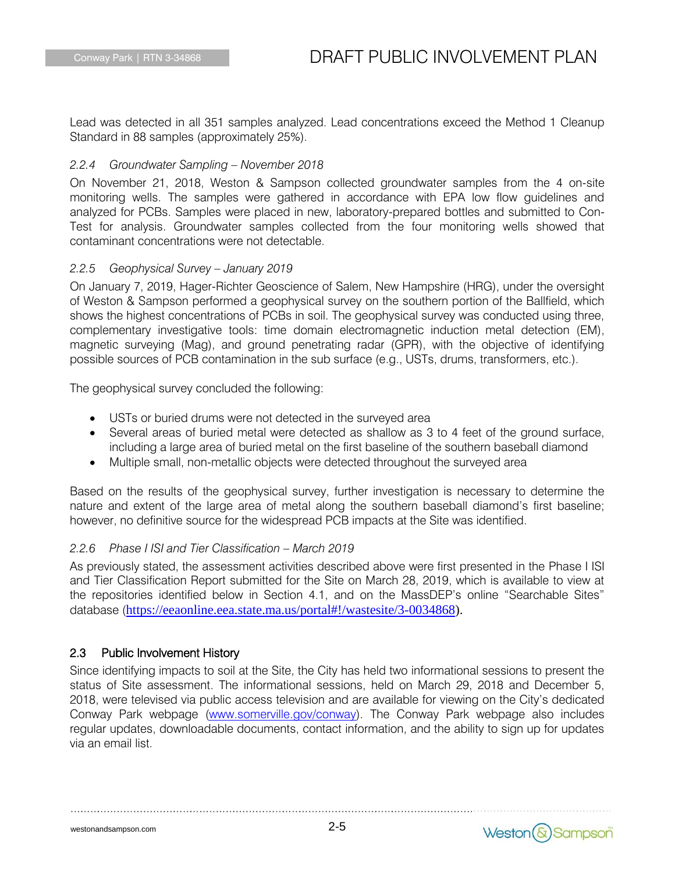Lead was detected in all 351 samples analyzed. Lead concentrations exceed the Method 1 Cleanup Standard in 88 samples (approximately 25%).

### *2.2.4 Groundwater Sampling – November 2018*

On November 21, 2018, Weston & Sampson collected groundwater samples from the 4 on-site monitoring wells. The samples were gathered in accordance with EPA low flow guidelines and analyzed for PCBs. Samples were placed in new, laboratory-prepared bottles and submitted to Con-Test for analysis. Groundwater samples collected from the four monitoring wells showed that contaminant concentrations were not detectable.

### *2.2.5 Geophysical Survey – January 2019*

On January 7, 2019, Hager-Richter Geoscience of Salem, New Hampshire (HRG), under the oversight of Weston & Sampson performed a geophysical survey on the southern portion of the Ballfield, which shows the highest concentrations of PCBs in soil. The geophysical survey was conducted using three, complementary investigative tools: time domain electromagnetic induction metal detection (EM), magnetic surveying (Mag), and ground penetrating radar (GPR), with the objective of identifying possible sources of PCB contamination in the sub surface (e.g., USTs, drums, transformers, etc.).

The geophysical survey concluded the following:

- USTs or buried drums were not detected in the surveyed area
- Several areas of buried metal were detected as shallow as 3 to 4 feet of the ground surface, including a large area of buried metal on the first baseline of the southern baseball diamond
- Multiple small, non-metallic objects were detected throughout the surveyed area

Based on the results of the geophysical survey, further investigation is necessary to determine the nature and extent of the large area of metal along the southern baseball diamond's first baseline; however, no definitive source for the widespread PCB impacts at the Site was identified.

### *2.2.6 Phase I ISI and Tier Classification – March 2019*

As previously stated, the assessment activities described above were first presented in the Phase I ISI and Tier Classification Report submitted for the Site on March 28, 2019, which is available to view at the repositories identified below in Section 4.1, and on the MassDEP's online "Searchable Sites" database ([https://eeaonline.eea.state.ma.us/portal#!/wastesite/3-0034868\)](https://eeaonline.eea.state.ma.us/portal#!/wastesite/3-0034868).

### 2.3 Public Involvement History

Since identifying impacts to soil at the Site, the City has held two informational sessions to present the status of Site assessment. The informational sessions, held on March 29, 2018 and December 5, 2018, were televised via public access television and are available for viewing on the City's dedicated Conway Park webpage [\(www.somerville.gov/conway\)](http://www.somerville.gov/conway). The Conway Park webpage also includes regular updates, downloadable documents, contact information, and the ability to sign up for updates via an email list.

2-5

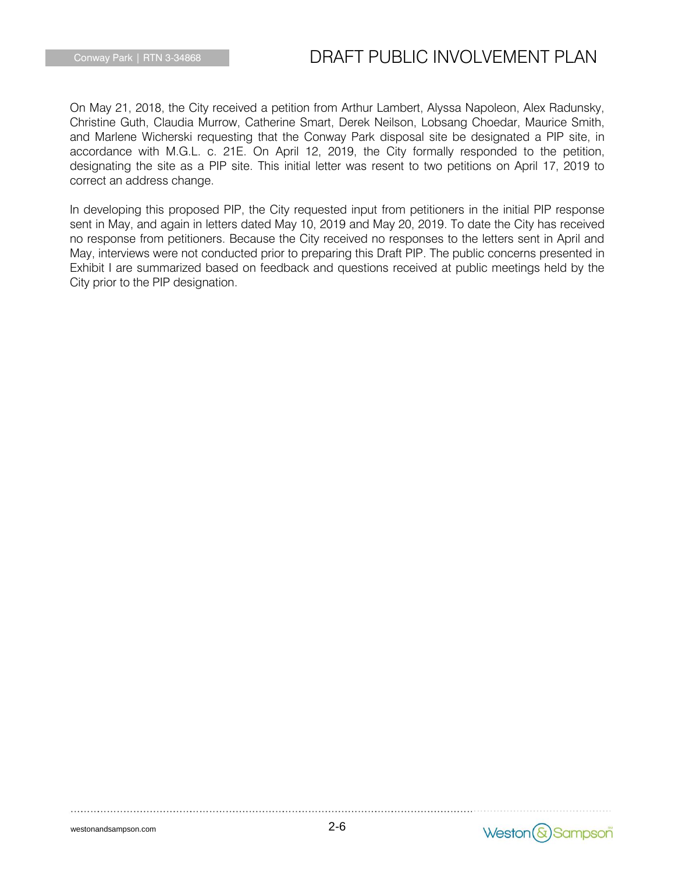On May 21, 2018, the City received a petition from Arthur Lambert, Alyssa Napoleon, Alex Radunsky, Christine Guth, Claudia Murrow, Catherine Smart, Derek Neilson, Lobsang Choedar, Maurice Smith, and Marlene Wicherski requesting that the Conway Park disposal site be designated a PIP site, in accordance with M.G.L. c. 21E. On April 12, 2019, the City formally responded to the petition, designating the site as a PIP site. This initial letter was resent to two petitions on April 17, 2019 to correct an address change.

In developing this proposed PIP, the City requested input from petitioners in the initial PIP response sent in May, and again in letters dated May 10, 2019 and May 20, 2019. To date the City has received no response from petitioners. Because the City received no responses to the letters sent in April and May, interviews were not conducted prior to preparing this Draft PIP. The public concerns presented in Exhibit I are summarized based on feedback and questions received at public meetings held by the City prior to the PIP designation.

2-6

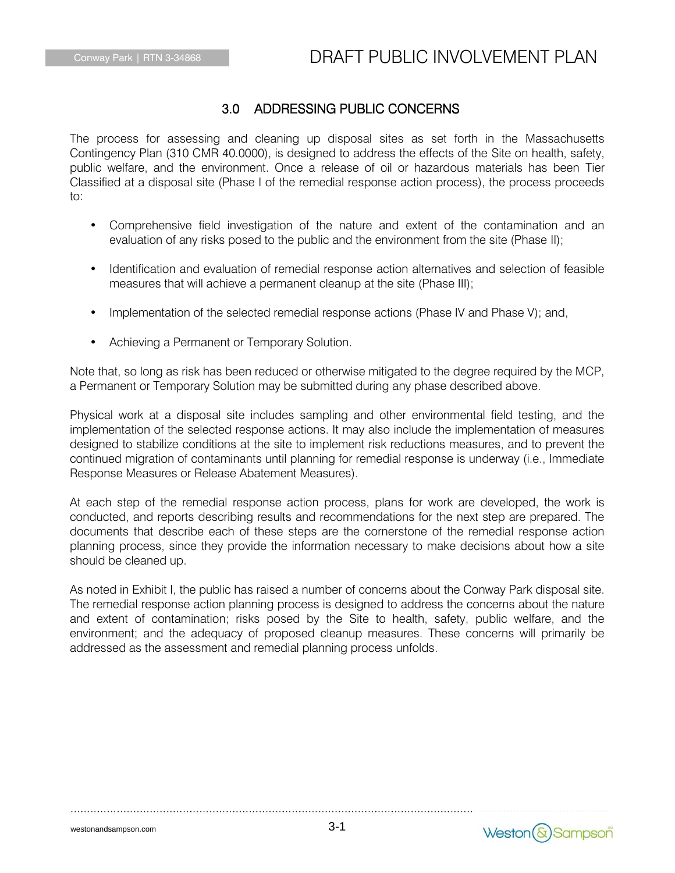### 3.0 ADDRESSING PUBLIC CONCERNS

The process for assessing and cleaning up disposal sites as set forth in the Massachusetts Contingency Plan (310 CMR 40.0000), is designed to address the effects of the Site on health, safety, public welfare, and the environment. Once a release of oil or hazardous materials has been Tier Classified at a disposal site (Phase I of the remedial response action process), the process proceeds to:

- Comprehensive field investigation of the nature and extent of the contamination and an evaluation of any risks posed to the public and the environment from the site (Phase II);
- Identification and evaluation of remedial response action alternatives and selection of feasible measures that will achieve a permanent cleanup at the site (Phase III);
- Implementation of the selected remedial response actions (Phase IV and Phase V); and,
- Achieving a Permanent or Temporary Solution.

Note that, so long as risk has been reduced or otherwise mitigated to the degree required by the MCP, a Permanent or Temporary Solution may be submitted during any phase described above.

Physical work at a disposal site includes sampling and other environmental field testing, and the implementation of the selected response actions. It may also include the implementation of measures designed to stabilize conditions at the site to implement risk reductions measures, and to prevent the continued migration of contaminants until planning for remedial response is underway (i.e., Immediate Response Measures or Release Abatement Measures).

At each step of the remedial response action process, plans for work are developed, the work is conducted, and reports describing results and recommendations for the next step are prepared. The documents that describe each of these steps are the cornerstone of the remedial response action planning process, since they provide the information necessary to make decisions about how a site should be cleaned up.

As noted in Exhibit I, the public has raised a number of concerns about the Conway Park disposal site. The remedial response action planning process is designed to address the concerns about the nature and extent of contamination; risks posed by the Site to health, safety, public welfare, and the environment; and the adequacy of proposed cleanup measures. These concerns will primarily be addressed as the assessment and remedial planning process unfolds.

Weston (&) Sampson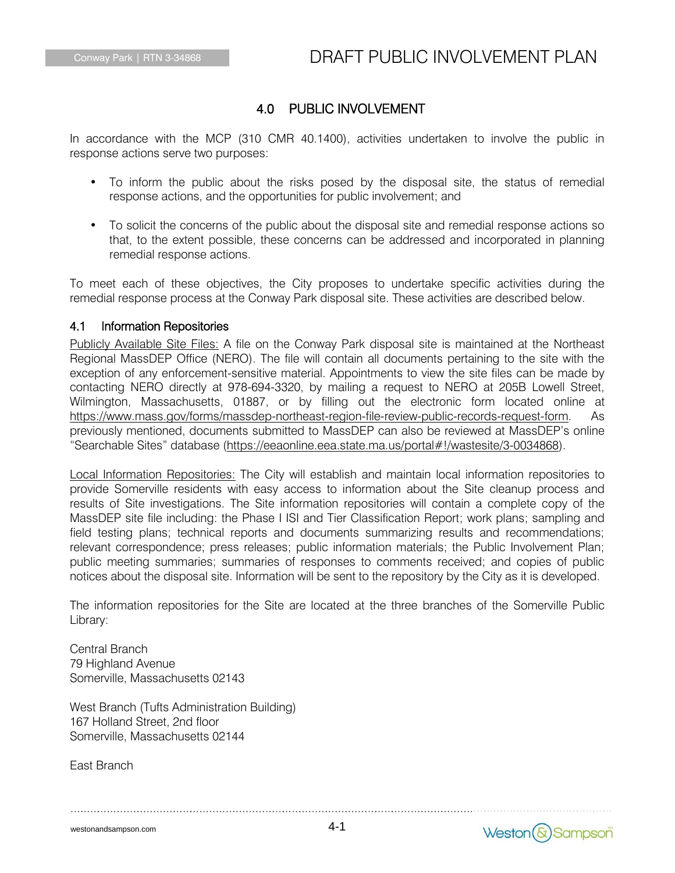### 4.0 PUBLIC INVOLVEMENT

In accordance with the MCP (310 CMR 40.1400), activities undertaken to involve the public in response actions serve two purposes:

- To inform the public about the risks posed by the disposal site, the status of remedial response actions, and the opportunities for public involvement; and
- To solicit the concerns of the public about the disposal site and remedial response actions so that, to the extent possible, these concerns can be addressed and incorporated in planning remedial response actions.

To meet each of these objectives, the City proposes to undertake specific activities during the remedial response process at the Conway Park disposal site. These activities are described below.

### 4.1 Information Repositories

Publicly Available Site Files: A file on the Conway Park disposal site is maintained at the Northeast Regional MassDEP Office (NERO). The file will contain all documents pertaining to the site with the exception of any enforcement-sensitive material. Appointments to view the site files can be made by contacting NERO directly at 978-694-3320, by mailing a request to NERO at 205B Lowell Street, Wilmington, Massachusetts, 01887, or by filling out the electronic form located online at [https://www.mass.gov/forms/massdep-northeast-region-file-review-public-records-request-form.](https://www.mass.gov/forms/massdep-northeast-region-file-review-public-records-request-form) As previously mentioned, documents submitted to MassDEP can also be reviewed at MassDEP's online "Searchable Sites" database ([https://eeaonline.eea.state.ma.us/portal#!/wastesite/3-0034868\)](https://eeaonline.eea.state.ma.us/portal#!/wastesite/3-0034868).

Local Information Repositories: The City will establish and maintain local information repositories to provide Somerville residents with easy access to information about the Site cleanup process and results of Site investigations. The Site information repositories will contain a complete copy of the MassDEP site file including: the Phase I ISI and Tier Classification Report; work plans; sampling and field testing plans; technical reports and documents summarizing results and recommendations; relevant correspondence; press releases; public information materials; the Public Involvement Plan; public meeting summaries; summaries of responses to comments received; and copies of public notices about the disposal site. Information will be sent to the repository by the City as it is developed.

The information repositories for the Site are located at the three branches of the Somerville Public Library:

Central Branch 79 Highland Avenue Somerville, Massachusetts 02143

West Branch (Tufts Administration Building) 167 Holland Street, 2nd floor Somerville, Massachusetts 02144

East Branch

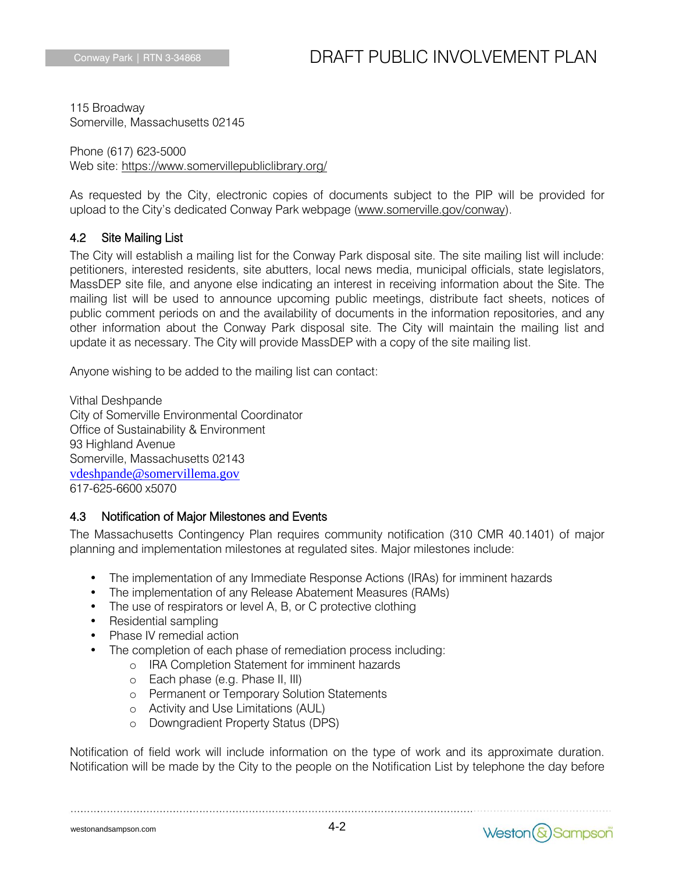115 Broadway Somerville, Massachusetts 02145

Phone (617) 623-5000 Web site:<https://www.somervillepubliclibrary.org/>

As requested by the City, electronic copies of documents subject to the PIP will be provided for upload to the City's dedicated Conway Park webpage [\(www.somerville.gov/conway\)](http://www.somerville.gov/conway).

### 4.2 Site Mailing List

The City will establish a mailing list for the Conway Park disposal site. The site mailing list will include: petitioners, interested residents, site abutters, local news media, municipal officials, state legislators, MassDEP site file, and anyone else indicating an interest in receiving information about the Site. The mailing list will be used to announce upcoming public meetings, distribute fact sheets, notices of public comment periods on and the availability of documents in the information repositories, and any other information about the Conway Park disposal site. The City will maintain the mailing list and update it as necessary. The City will provide MassDEP with a copy of the site mailing list.

Anyone wishing to be added to the mailing list can contact:

Vithal Deshpande City of Somerville Environmental Coordinator Office of Sustainability & Environment 93 Highland Avenue Somerville, Massachusetts 02143 [vdeshpande@somervillema.gov](mailto:vdeshpande@somervillema.gov) 617-625-6600 x5070

### 4.3 Notification of Major Milestones and Events

The Massachusetts Contingency Plan requires community notification (310 CMR 40.1401) of major planning and implementation milestones at regulated sites. Major milestones include:

- The implementation of any Immediate Response Actions (IRAs) for imminent hazards
- The implementation of any Release Abatement Measures (RAMs)
- The use of respirators or level A, B, or C protective clothing
- Residential sampling
- Phase IV remedial action
- The completion of each phase of remediation process including:

- o IRA Completion Statement for imminent hazards
- o Each phase (e.g. Phase II, III)
- o Permanent or Temporary Solution Statements
- o Activity and Use Limitations (AUL)
- o Downgradient Property Status (DPS)

Notification of field work will include information on the type of work and its approximate duration. Notification will be made by the City to the people on the Notification List by telephone the day before

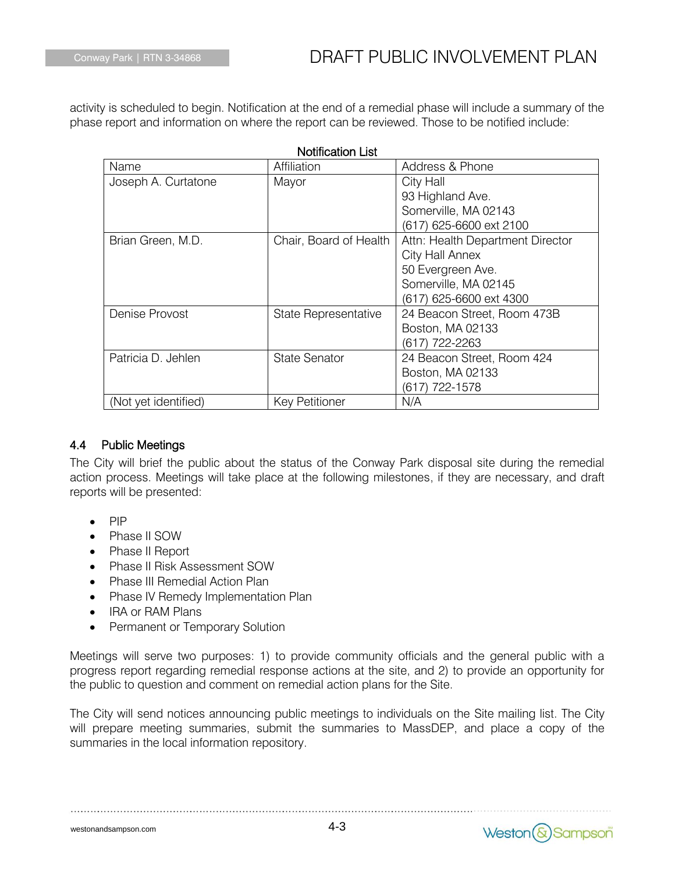activity is scheduled to begin. Notification at the end of a remedial phase will include a summary of the phase report and information on where the report can be reviewed. Those to be notified include:

 $\sim 10^{-1}$ 

| Name                 | <b>Notification List</b><br>Affiliation | Address & Phone                  |
|----------------------|-----------------------------------------|----------------------------------|
| Joseph A. Curtatone  | Mayor                                   | City Hall                        |
|                      |                                         | 93 Highland Ave.                 |
|                      |                                         | Somerville, MA 02143             |
|                      |                                         | (617) 625-6600 ext 2100          |
| Brian Green, M.D.    | Chair, Board of Health                  | Attn: Health Department Director |
|                      |                                         | City Hall Annex                  |
|                      |                                         | 50 Evergreen Ave.                |
|                      |                                         | Somerville, MA 02145             |
|                      |                                         | (617) 625-6600 ext 4300          |
| Denise Provost       | State Representative                    | 24 Beacon Street, Room 473B      |
|                      |                                         | Boston, MA 02133                 |
|                      |                                         | (617) 722-2263                   |
| Patricia D. Jehlen   | <b>State Senator</b>                    | 24 Beacon Street, Room 424       |
|                      |                                         | Boston, MA 02133                 |
|                      |                                         | (617) 722-1578                   |
| (Not yet identified) | <b>Key Petitioner</b>                   | N/A                              |

### 4.4 Public Meetings

The City will brief the public about the status of the Conway Park disposal site during the remedial action process. Meetings will take place at the following milestones, if they are necessary, and draft reports will be presented:

- PIP
- Phase II SOW
- Phase II Report
- Phase II Risk Assessment SOW
- Phase III Remedial Action Plan
- Phase IV Remedy Implementation Plan
- IRA or RAM Plans
- Permanent or Temporary Solution

Meetings will serve two purposes: 1) to provide community officials and the general public with a progress report regarding remedial response actions at the site, and 2) to provide an opportunity for the public to question and comment on remedial action plans for the Site.

The City will send notices announcing public meetings to individuals on the Site mailing list. The City will prepare meeting summaries, submit the summaries to MassDEP, and place a copy of the summaries in the local information repository.

westonandsampson.com

4-3

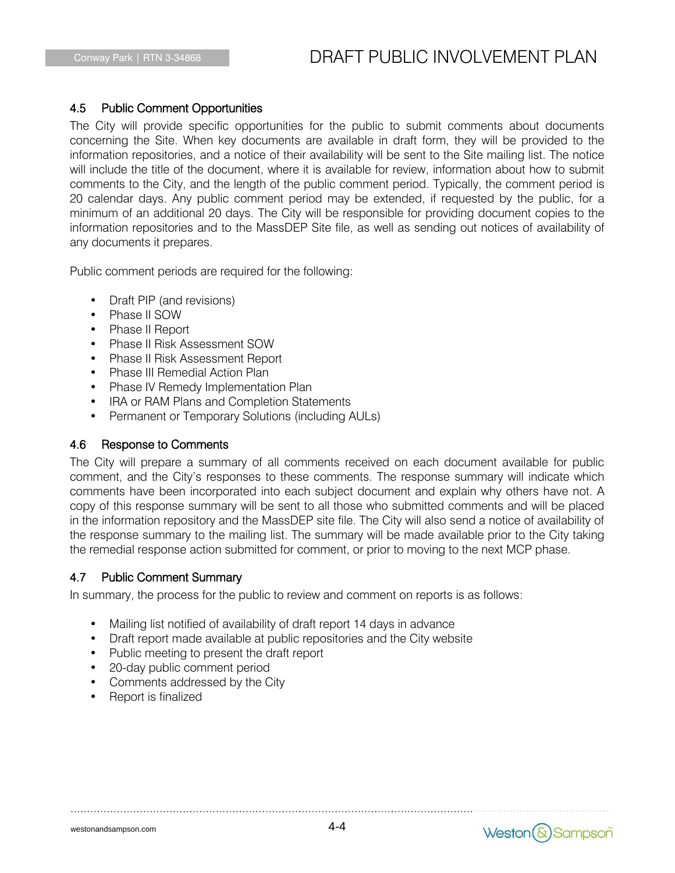### 4.5 Public Comment Opportunities

The City will provide specific opportunities for the public to submit comments about documents concerning the Site. When key documents are available in draft form, they will be provided to the information repositories, and a notice of their availability will be sent to the Site mailing list. The notice will include the title of the document, where it is available for review, information about how to submit comments to the City, and the length of the public comment period. Typically, the comment period is 20 calendar days. Any public comment period may be extended, if requested by the public, for a minimum of an additional 20 days. The City will be responsible for providing document copies to the information repositories and to the MassDEP Site file, as well as sending out notices of availability of any documents it prepares.

Public comment periods are required for the following:

- Draft PIP (and revisions)
- Phase II SOW
- Phase II Report
- Phase II Risk Assessment SOW
- Phase II Risk Assessment Report
- Phase III Remedial Action Plan
- Phase IV Remedy Implementation Plan
- IRA or RAM Plans and Completion Statements
- Permanent or Temporary Solutions (including AULs)

### 4.6 Response to Comments

The City will prepare a summary of all comments received on each document available for public comment, and the City's responses to these comments. The response summary will indicate which comments have been incorporated into each subject document and explain why others have not. A copy of this response summary will be sent to all those who submitted comments and will be placed in the information repository and the MassDEP site file. The City will also send a notice of availability of the response summary to the mailing list. The summary will be made available prior to the City taking the remedial response action submitted for comment, or prior to moving to the next MCP phase.

### 4.7 Public Comment Summary

In summary, the process for the public to review and comment on reports is as follows:

- Mailing list notified of availability of draft report 14 days in advance
- Draft report made available at public repositories and the City website
- Public meeting to present the draft report
- 20-day public comment period
- Comments addressed by the City
- Report is finalized

Weston (&) Sampson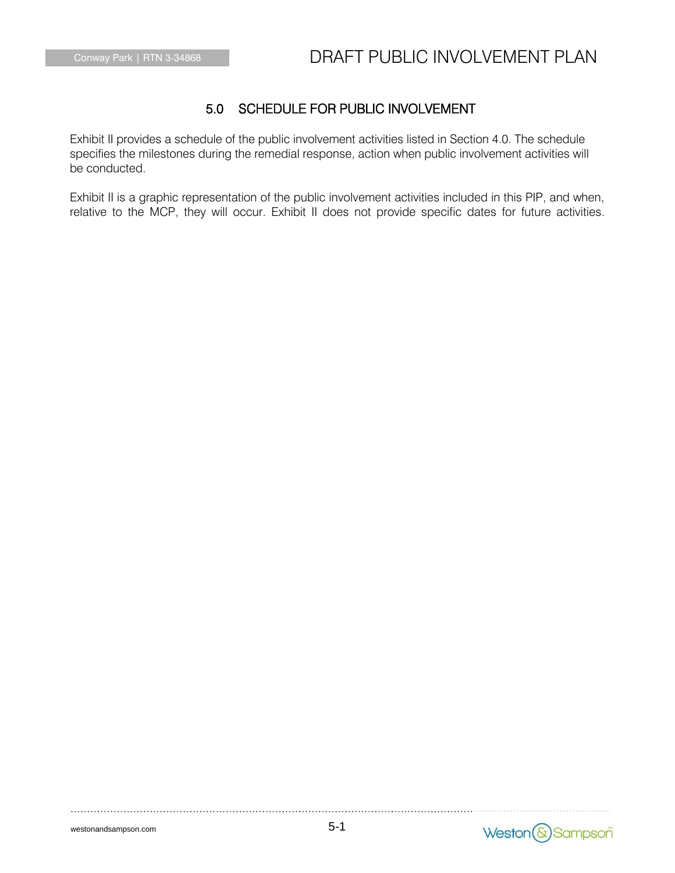### 5.0 SCHEDULE FOR PUBLIC INVOLVEMENT

Exhibit II provides a schedule of the public involvement activities listed in Section 4.0. The schedule specifies the milestones during the remedial response, action when public involvement activities will be conducted.

Exhibit II is a graphic representation of the public involvement activities included in this PIP, and when, relative to the MCP, they will occur. Exhibit II does not provide specific dates for future activities.

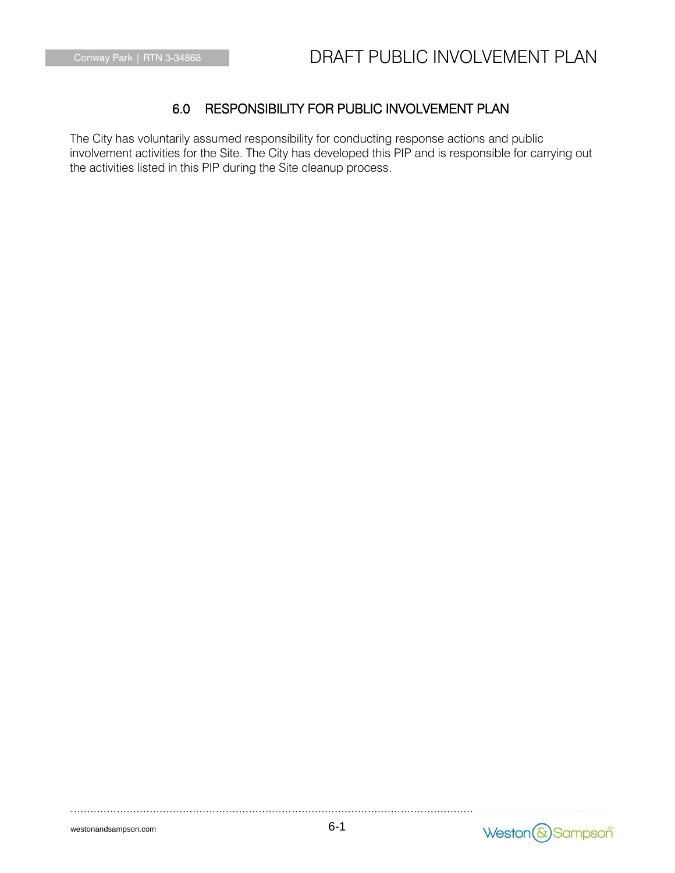## 6.0 RESPONSIBILITY FOR PUBLIC INVOLVEMENT PLAN

The City has voluntarily assumed responsibility for conducting response actions and public involvement activities for the Site. The City has developed this PIP and is responsible for carrying out the activities listed in this PIP during the Site cleanup process.

westonandsampson.com

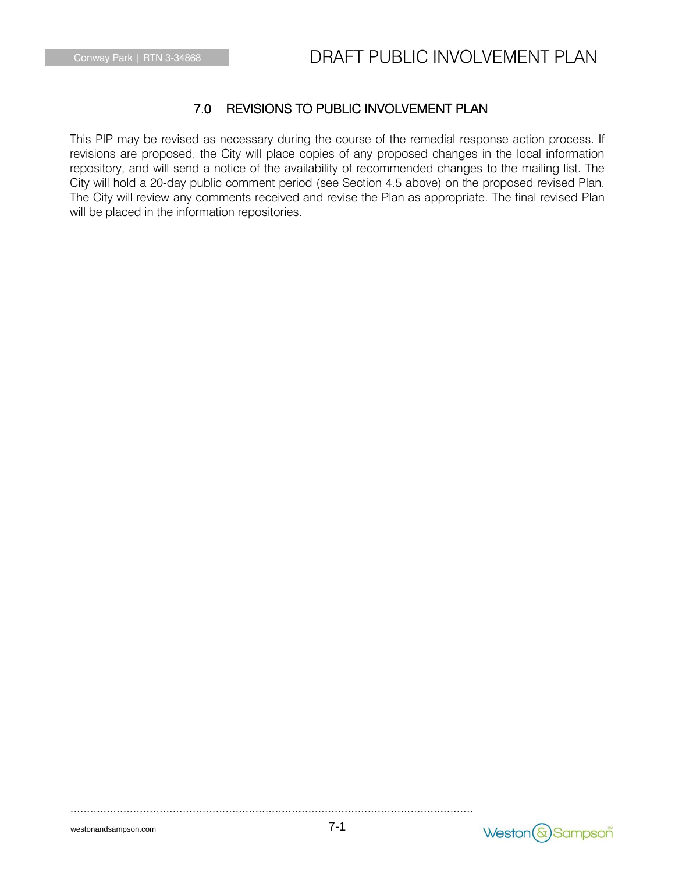### 7.0 REVISIONS TO PUBLIC INVOLVEMENT PLAN

This PIP may be revised as necessary during the course of the remedial response action process. If revisions are proposed, the City will place copies of any proposed changes in the local information repository, and will send a notice of the availability of recommended changes to the mailing list. The City will hold a 20-day public comment period (see Section 4.5 above) on the proposed revised Plan. The City will review any comments received and revise the Plan as appropriate. The final revised Plan will be placed in the information repositories.

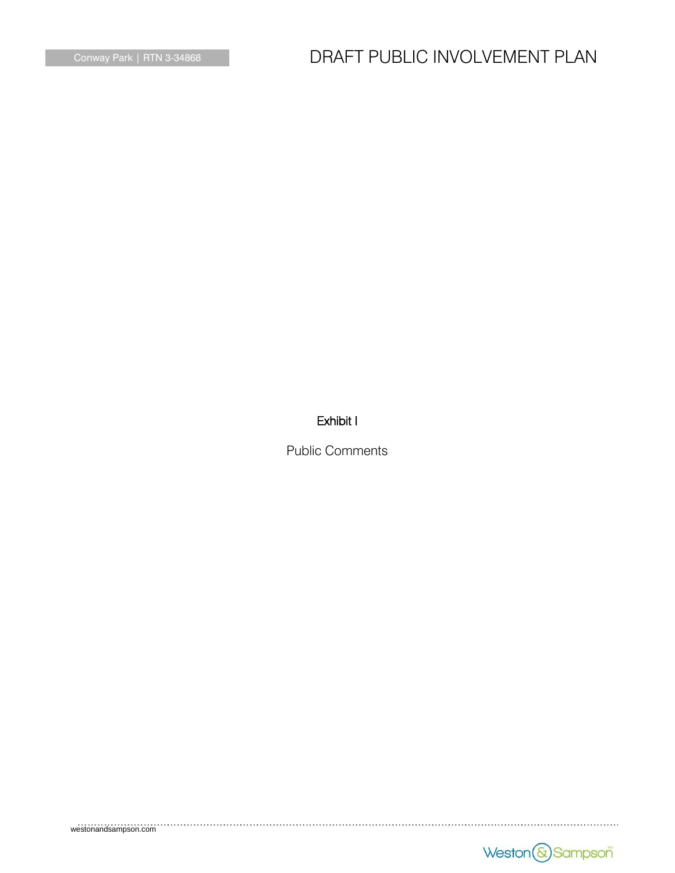# Conway Park | RTN 3-34868 **DRAFT PUBLIC INVOLVEMENT PLAN**

### Exhibit I

Public Comments

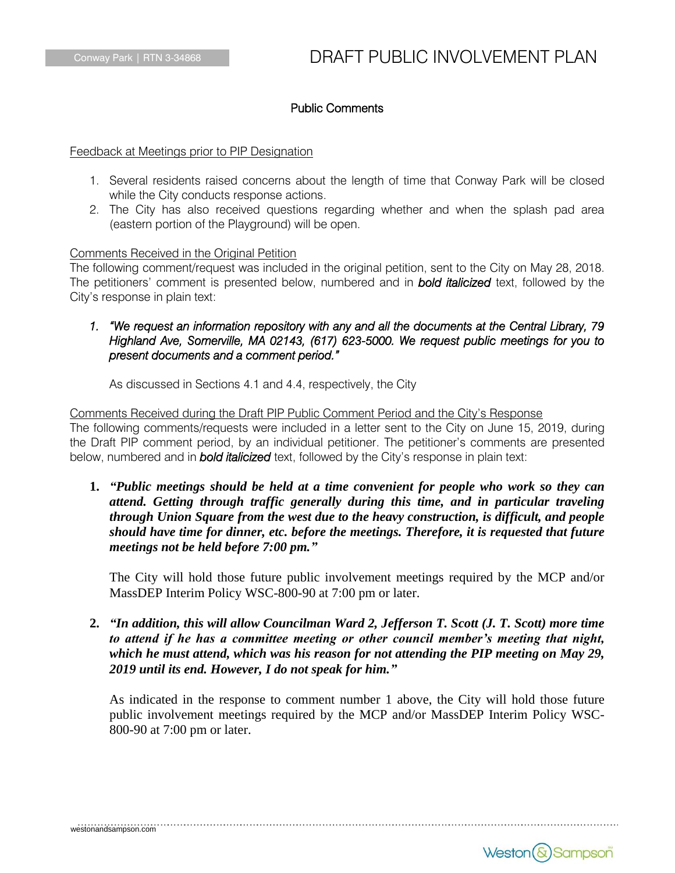### Public Comments

Feedback at Meetings prior to PIP Designation

- 1. Several residents raised concerns about the length of time that Conway Park will be closed while the City conducts response actions.
- 2. The City has also received questions regarding whether and when the splash pad area (eastern portion of the Playground) will be open.

#### Comments Received in the Original Petition

The following comment/request was included in the original petition, sent to the City on May 28, 2018. The petitioners' comment is presented below, numbered and in *bold italicized* text, followed by the City's response in plain text:

### *1. "We request an information repository with any and all the documents at the Central Library, 79 Highland Ave, Somerville, MA 02143, (617) 623-5000. We request public meetings for you to present documents and a comment period."*

As discussed in Sections 4.1 and 4.4, respectively, the City

Comments Received during the Draft PIP Public Comment Period and the City's Response The following comments/requests were included in a letter sent to the City on June 15, 2019, during the Draft PIP comment period, by an individual petitioner. The petitioner's comments are presented below, numbered and in *bold italicized* text, followed by the City's response in plain text:

**1.** *"Public meetings should be held at a time convenient for people who work so they can attend. Getting through traffic generally during this time, and in particular traveling through Union Square from the west due to the heavy construction, is difficult, and people should have time for dinner, etc. before the meetings. Therefore, it is requested that future meetings not be held before 7:00 pm."*

The City will hold those future public involvement meetings required by the MCP and/or MassDEP Interim Policy WSC-800-90 at 7:00 pm or later.

**2.** *"In addition, this will allow Councilman Ward 2, Jefferson T. Scott (J. T. Scott) more time to attend if he has a committee meeting or other council member's meeting that night, which he must attend, which was his reason for not attending the PIP meeting on May 29, 2019 until its end. However, I do not speak for him."*

As indicated in the response to comment number 1 above, the City will hold those future public involvement meetings required by the MCP and/or MassDEP Interim Policy WSC-800-90 at 7:00 pm or later.

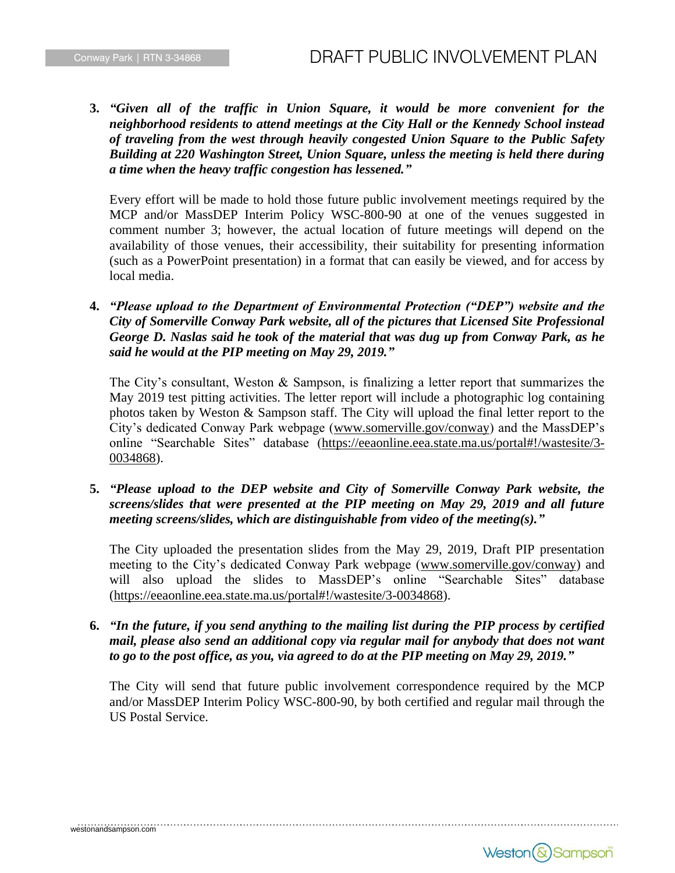**3.** *"Given all of the traffic in Union Square, it would be more convenient for the neighborhood residents to attend meetings at the City Hall or the Kennedy School instead of traveling from the west through heavily congested Union Square to the Public Safety Building at 220 Washington Street, Union Square, unless the meeting is held there during a time when the heavy traffic congestion has lessened."*

Every effort will be made to hold those future public involvement meetings required by the MCP and/or MassDEP Interim Policy WSC-800-90 at one of the venues suggested in comment number 3; however, the actual location of future meetings will depend on the availability of those venues, their accessibility, their suitability for presenting information (such as a PowerPoint presentation) in a format that can easily be viewed, and for access by local media.

**4.** *"Please upload to the Department of Environmental Protection ("DEP") website and the City of Somerville Conway Park website, all of the pictures that Licensed Site Professional George D. Naslas said he took of the material that was dug up from Conway Park, as he said he would at the PIP meeting on May 29, 2019."*

The City's consultant, Weston & Sampson, is finalizing a letter report that summarizes the May 2019 test pitting activities. The letter report will include a photographic log containing photos taken by Weston & Sampson staff. The City will upload the final letter report to the City's dedicated Conway Park webpage (www.somerville.gov/conway) and the MassDEP's online "Searchable Sites" database (https://eeaonline.eea.state.ma.us/portal#!/wastesite/3- 0034868).

**5.** *"Please upload to the DEP website and City of Somerville Conway Park website, the screens/slides that were presented at the PIP meeting on May 29, 2019 and all future meeting screens/slides, which are distinguishable from video of the meeting(s)."*

The City uploaded the presentation slides from the May 29, 2019, Draft PIP presentation meeting to the City's dedicated Conway Park webpage (www.somerville.gov/conway) and will also upload the slides to MassDEP's online "Searchable Sites" database (https://eeaonline.eea.state.ma.us/portal#!/wastesite/3-0034868).

**6.** *"In the future, if you send anything to the mailing list during the PIP process by certified mail, please also send an additional copy via regular mail for anybody that does not want to go to the post office, as you, via agreed to do at the PIP meeting on May 29, 2019."*

The City will send that future public involvement correspondence required by the MCP and/or MassDEP Interim Policy WSC-800-90, by both certified and regular mail through the US Postal Service.

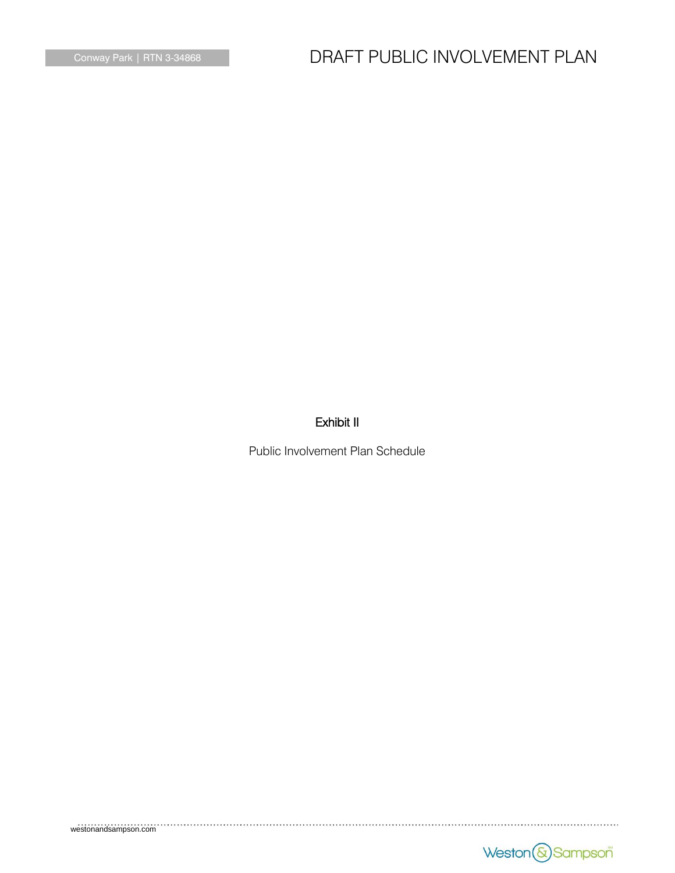# Conway Park | RTN 3-34868 **DRAFT PUBLIC INVOLVEMENT PLAN**

### Exhibit II

Public Involvement Plan Schedule

westonandsampson.com

Weston & Sampson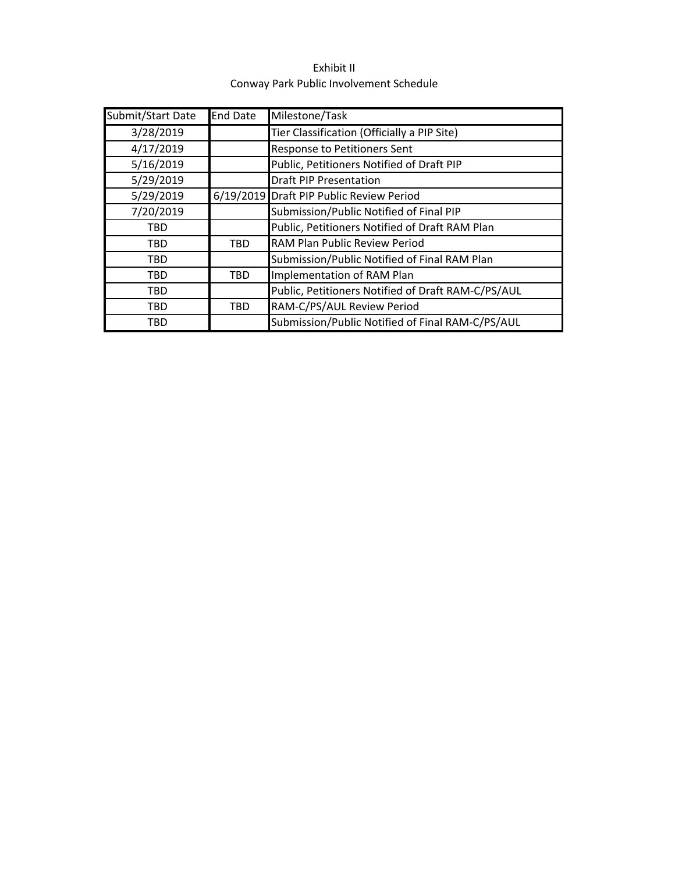| Exhibit II                              |
|-----------------------------------------|
| Conway Park Public Involvement Schedule |

| Submit/Start Date | <b>End Date</b> | Milestone/Task                                     |
|-------------------|-----------------|----------------------------------------------------|
| 3/28/2019         |                 | Tier Classification (Officially a PIP Site)        |
| 4/17/2019         |                 | Response to Petitioners Sent                       |
| 5/16/2019         |                 | Public, Petitioners Notified of Draft PIP          |
| 5/29/2019         |                 | <b>Draft PIP Presentation</b>                      |
| 5/29/2019         |                 | 6/19/2019 Draft PIP Public Review Period           |
| 7/20/2019         |                 | Submission/Public Notified of Final PIP            |
| <b>TBD</b>        |                 | Public, Petitioners Notified of Draft RAM Plan     |
| <b>TBD</b>        | <b>TBD</b>      | RAM Plan Public Review Period                      |
| <b>TBD</b>        |                 | Submission/Public Notified of Final RAM Plan       |
| <b>TBD</b>        | <b>TBD</b>      | Implementation of RAM Plan                         |
| <b>TBD</b>        |                 | Public, Petitioners Notified of Draft RAM-C/PS/AUL |
| <b>TBD</b>        | <b>TBD</b>      | RAM-C/PS/AUL Review Period                         |
| <b>TBD</b>        |                 | Submission/Public Notified of Final RAM-C/PS/AUL   |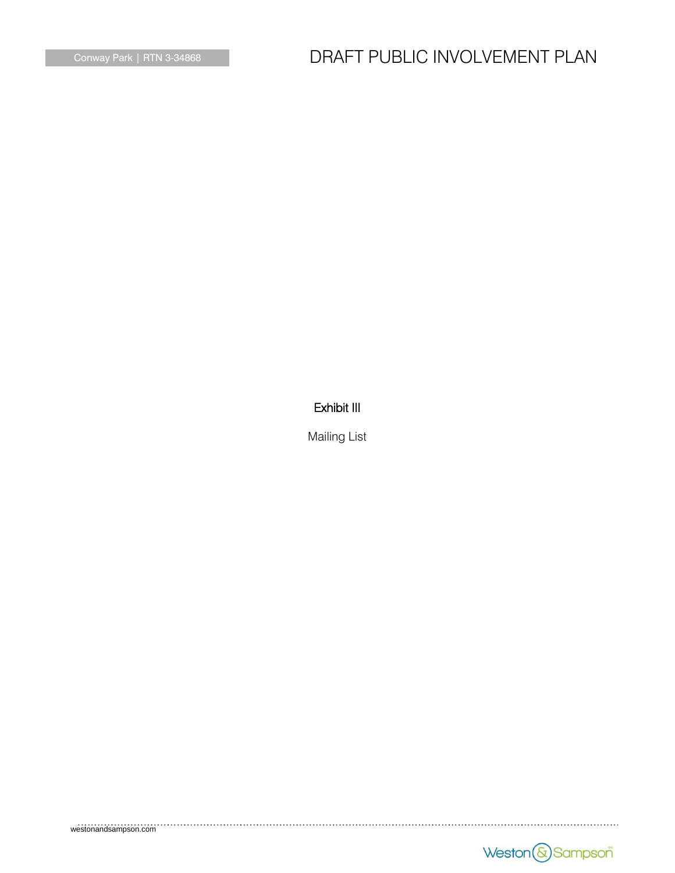# Conway Park | RTN 3-34868 **DRAFT PUBLIC INVOLVEMENT PLAN**

### Exhibit III

Mailing List

westonandsampson.com

Weston & Sampson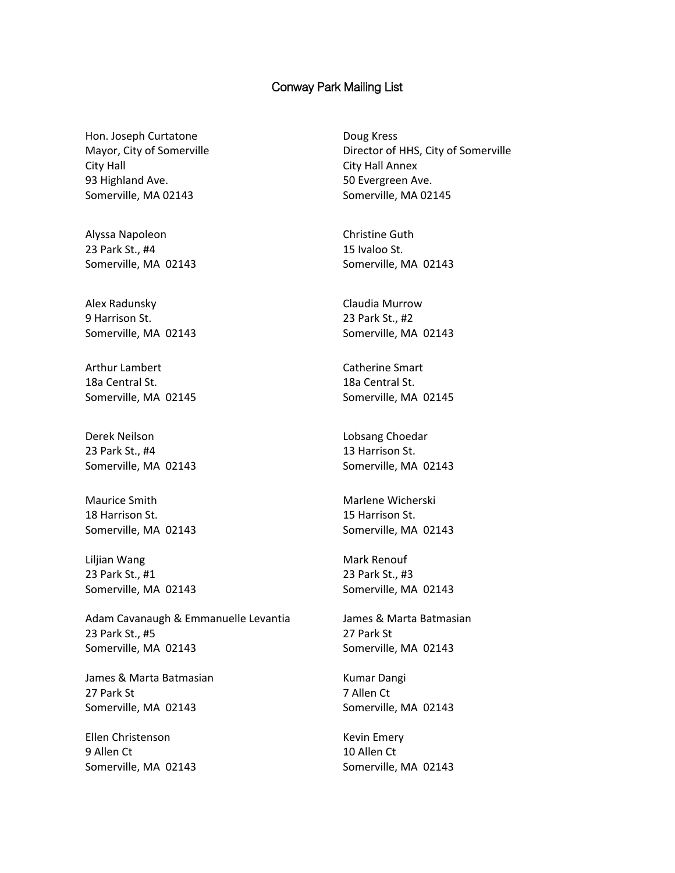#### Conway Park Mailing List

Hon. Joseph Curtatone Mayor, City of Somerville City Hall 93 Highland Ave. Somerville, MA 02143

Alyssa Napoleon 23 Park St., #4 Somerville, MA 02143

Alex Radunsky 9 Harrison St. Somerville, MA 02143

Arthur Lambert 18a Central St. Somerville, MA 02145

Derek Neilson 23 Park St., #4 Somerville, MA 02143

Maurice Smith 18 Harrison St. Somerville, MA 02143

Liljian Wang 23 Park St., #1 Somerville, MA 02143

Adam Cavanaugh & Emmanuelle Levantia 23 Park St., #5 Somerville, MA 02143

James & Marta Batmasian 27 Park St Somerville, MA 02143

Ellen Christenson 9 Allen Ct Somerville, MA 02143

Doug Kress Director of HHS, City of Somerville City Hall Annex 50 Evergreen Ave. Somerville, MA 02145

Christine Guth 15 Ivaloo St. Somerville, MA 02143

Claudia Murrow 23 Park St., #2 Somerville, MA 02143

Catherine Smart 18a Central St. Somerville, MA 02145

Lobsang Choedar 13 Harrison St. Somerville, MA 02143

Marlene Wicherski 15 Harrison St. Somerville, MA 02143

Mark Renouf 23 Park St., #3 Somerville, MA 02143

James & Marta Batmasian 27 Park St Somerville, MA 02143

Kumar Dangi 7 Allen Ct Somerville, MA 02143

Kevin Emery 10 Allen Ct Somerville, MA 02143